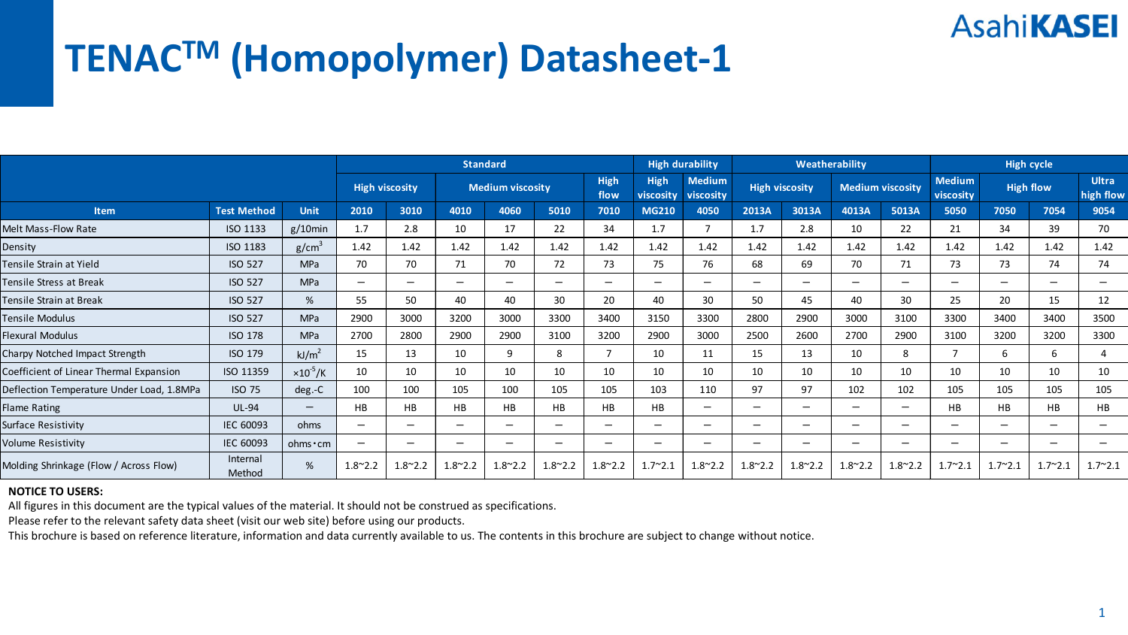# **TENACTM (Homopolymer) Datasheet‐1**

|                                           |                    |                          | <b>Standard</b>          |                         |                              |                          |                          | <b>High durability</b> |                            | Weatherability           |                              |                          | <b>High cycle</b> |                            |                          |                          |                           |                 |
|-------------------------------------------|--------------------|--------------------------|--------------------------|-------------------------|------------------------------|--------------------------|--------------------------|------------------------|----------------------------|--------------------------|------------------------------|--------------------------|-------------------|----------------------------|--------------------------|--------------------------|---------------------------|-----------------|
|                                           |                    | <b>High viscosity</b>    |                          | <b>Medium viscosity</b> |                              |                          | High<br>flow             | High<br>viscosity      | <b>Medium</b><br>viscosity | <b>High viscosity</b>    |                              | <b>Medium viscosity</b>  |                   | <b>Medium</b><br>viscosity | <b>High flow</b>         |                          | <b>Ultra</b><br>high flow |                 |
| Item                                      | <b>Test Method</b> | Unit                     | 2010                     | 3010                    | 4010                         | 4060                     | 5010                     | 7010                   | <b>MG210</b>               | 4050                     | 2013A                        | 3013A                    | 4013A             | 5013A                      | 5050                     | 7050                     | 7054                      | 9054            |
| Melt Mass-Flow Rate                       | ISO 1133           | $g/10$ min               | 1.7                      | 2.8                     | 10                           | 17                       | 22                       | 34                     | 1.7                        |                          | 1.7                          | 2.8                      | 10                | 22                         | 21                       | 34                       | 39                        | 70              |
| Density                                   | ISO 1183           | g/cm <sup>3</sup>        | 1.42                     | 1.42                    | 1.42                         | 1.42                     | 1.42                     | 1.42                   | 1.42                       | 1.42                     | 1.42                         | 1.42                     | 1.42              | 1.42                       | 1.42                     | 1.42                     | 1.42                      | 1.42            |
| Fensile Strain at Yield                   | <b>ISO 527</b>     | <b>MPa</b>               | 70                       | 70                      | 71                           | 70                       | 72                       | 73                     | 75                         | 76                       | 68                           | 69                       | 70                | 71                         | 73                       | 73                       | 74                        | 74              |
| <b>Fensile Stress at Break</b>            | <b>ISO 527</b>     | <b>MPa</b>               | $\overline{\phantom{0}}$ | $\qquad \qquad$         | $\qquad \qquad \blacksquare$ | -                        | $\overline{\phantom{0}}$ | -                      | -                          | $\overline{\phantom{0}}$ | $\qquad \qquad \blacksquare$ | $\overline{\phantom{0}}$ | -                 | -                          | $\overline{\phantom{m}}$ | $\overline{\phantom{0}}$ | $\overline{\phantom{0}}$  | -               |
| Fensile Strain at Break                   | <b>ISO 527</b>     | %                        | 55                       | 50                      | 40                           | 40                       | 30                       | 20                     | 40                         | 30                       | 50                           | 45                       | 40                | 30                         | 25                       | 20                       | 15                        | 12              |
| Tensile Modulus                           | <b>ISO 527</b>     | <b>MPa</b>               | 2900                     | 3000                    | 3200                         | 3000                     | 3300                     | 3400                   | 3150                       | 3300                     | 2800                         | 2900                     | 3000              | 3100                       | 3300                     | 3400                     | 3400                      | 3500            |
| Flexural Modulus                          | <b>ISO 178</b>     | <b>MPa</b>               | 2700                     | 2800                    | 2900                         | 2900                     | 3100                     | 3200                   | 2900                       | 3000                     | 2500                         | 2600                     | 2700              | 2900                       | 3100                     | 3200                     | 3200                      | 3300            |
| Charpy Notched Impact Strength            | ISO 179            | kJ/m <sup>2</sup>        | 15                       | 13                      | 10                           | 9                        | 8                        | $\overline{7}$         | 10                         | 11                       | 15                           | 13                       | 10                | 8                          |                          | -6                       | 6                         | 4               |
| Coefficient of Linear Thermal Expansion   | ISO 11359          | $\times 10^{-5}$ /K      | 10                       | 10                      | 10                           | 10                       | 10                       | 10                     | 10                         | 10                       | 10                           | 10                       | 10                | 10                         | 10                       | 10                       | 10                        | 10              |
| Deflection Temperature Under Load, 1.8MPa | <b>ISO 75</b>      | deg.-C                   | 100                      | 100                     | 105                          | 100                      | 105                      | 105                    | 103                        | 110                      | 97                           | 97                       | 102               | 102                        | 105                      | 105                      | 105                       | 105             |
| Flame Rating                              | <b>UL-94</b>       | $\overline{\phantom{0}}$ | <b>HB</b>                | <b>HB</b>               | HB                           | HB                       | <b>HB</b>                | <b>HB</b>              | HB                         | $\overline{\phantom{0}}$ | $\overline{\phantom{a}}$     | $\overline{\phantom{0}}$ | -                 | -                          | HB                       | HB                       | HB                        | <b>HB</b>       |
| Surface Resistivity                       | <b>IEC 60093</b>   | ohms                     | $\overline{\phantom{m}}$ | $\qquad \qquad$         | $\overline{\phantom{a}}$     | $\overline{\phantom{0}}$ | -                        | -                      | -                          | -                        | $\overline{\phantom{0}}$     | -                        | -                 | -                          | $\overline{\phantom{0}}$ | $\overline{\phantom{0}}$ | —                         | -               |
| Volume Resistivity                        | <b>IEC 60093</b>   | ohms · cm                | $\overline{\phantom{m}}$ | $\qquad \qquad$         | $\qquad \qquad \blacksquare$ | -                        | -                        | -                      | -                          | $\overline{\phantom{0}}$ | $\qquad \qquad \blacksquare$ | -                        | -                 | $\overline{\phantom{0}}$   | -                        | -                        | —                         |                 |
| Molding Shrinkage (Flow / Across Flow)    | Internal<br>Method | %                        | $1.8^{\sim}$ 2.2         | $1.8^{\sim}2.2$         | $1.8^{\sim}$ 2.2             | $1.8^{\sim}2.2$          | $1.8^{\sim}2.2$          | $1.8^{\sim}$ 2.2       | $1.7^{\sim}2.1$            | $1.8^{\sim}$ 2.2         | $1.8^{\sim}$ 2.2             | $1.8^{\sim}$ 2.2         | $1.8^{\sim}$ 2.2  | $1.8^{\sim}$ 2.2           | $1.7^{\sim}2.1$          | $1.7^{\sim}2.1$          | $1.7^{\sim}2.1$           | $1.7^{\sim}2.1$ |

#### **NOTICE TO USERS:**

All figures in this document are the typical values of the material. It should not be construed as specifications.

Please refer to the relevant safety data sheet (visit our web site) before using our products.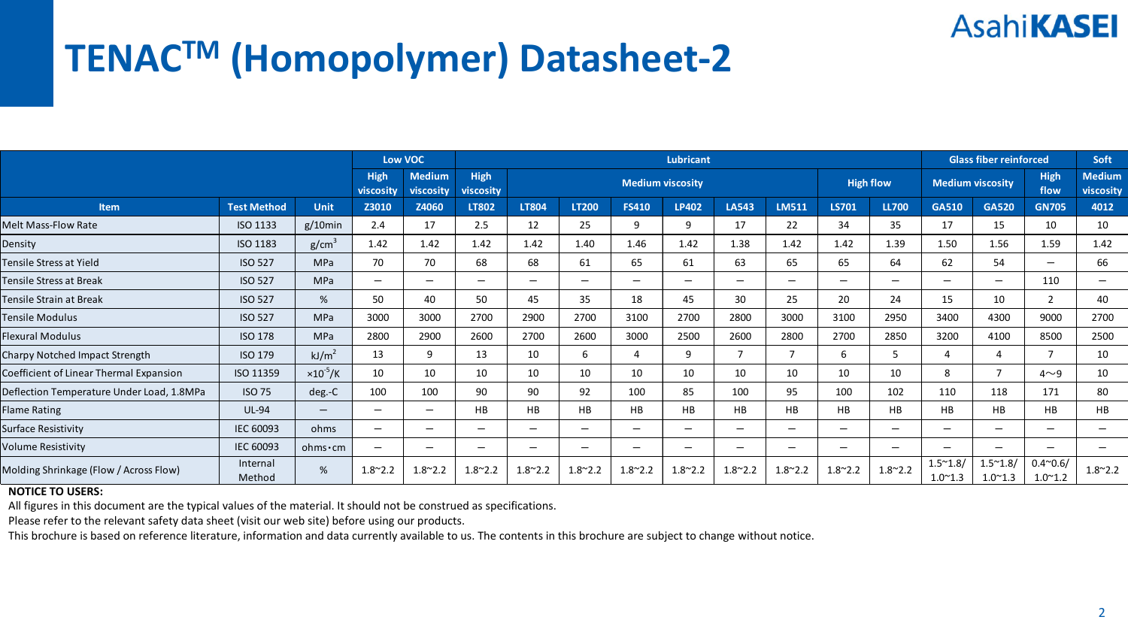# **TENACTM (Homopolymer) Datasheet‐2**

|                                           |                    |                     |                  | Low VOC                    |                          |                          |                              | <b>Glass fiber reinforced</b> | Soft                     |                              |                  |                          |                              |                                     |                                     |                                     |                            |
|-------------------------------------------|--------------------|---------------------|------------------|----------------------------|--------------------------|--------------------------|------------------------------|-------------------------------|--------------------------|------------------------------|------------------|--------------------------|------------------------------|-------------------------------------|-------------------------------------|-------------------------------------|----------------------------|
|                                           |                    |                     |                  | <b>Medium</b><br>viscosity | High<br>viscosity        |                          |                              |                               | <b>Medium viscosity</b>  |                              |                  | <b>High flow</b>         |                              | <b>Medium viscosity</b>             |                                     | High<br>flow                        | <b>Medium</b><br>viscosity |
| Item                                      | <b>Test Method</b> | <b>Unit</b>         | Z3010            | Z4060                      | LT802                    | LT804                    | LT200                        | <b>FS410</b>                  | <b>LP402</b>             | LA543                        | <b>LM511</b>     | <b>LS701</b>             | <b>LL700</b>                 | GA510                               | <b>GA520</b>                        | <b>GN705</b>                        | 4012                       |
| Melt Mass-Flow Rate                       | ISO 1133           | $g/10$ min          | 2.4              | 17                         | 2.5                      | 12                       | 25                           | 9                             | q                        | 17                           | 22               | 34                       | 35                           | 17                                  | 15                                  | 10                                  | 10                         |
| Density                                   | ISO 1183           | g/cm <sup>3</sup>   | 1.42             | 1.42                       | 1.42                     | 1.42                     | 1.40                         | 1.46                          | 1.42                     | 1.38                         | 1.42             | 1.42                     | 1.39                         | 1.50                                | 1.56                                | 1.59                                | 1.42                       |
| Tensile Stress at Yield                   | <b>ISO 527</b>     | <b>MPa</b>          | 70               | 70                         | 68                       | 68                       | 61                           | 65                            | 61                       | 63                           | 65               | 65                       | 64                           | 62                                  | 54                                  | $\qquad \qquad \blacksquare$        | 66                         |
| <b>Tensile Stress at Break</b>            | <b>ISO 527</b>     | MPa                 | -                | $\overline{\phantom{0}}$   | $\overline{\phantom{0}}$ | -                        | $\qquad \qquad \blacksquare$ | $\qquad \qquad \blacksquare$  | $\overline{\phantom{m}}$ | $\overline{\phantom{m}}$     | -                | —                        | $\qquad \qquad \blacksquare$ | $\overline{\phantom{0}}$            | $\qquad \qquad \blacksquare$        | 110                                 | $\overline{\phantom{m}}$   |
| Tensile Strain at Break                   | <b>ISO 527</b>     | %                   | 50               | 40                         | 50                       | 45                       | 35                           | 18                            | 45                       | 30                           | 25               | 20                       | 24                           | 15                                  | 10                                  |                                     | 40                         |
| <b>Tensile Modulus</b>                    | <b>ISO 527</b>     | MPa                 | 3000             | 3000                       | 2700                     | 2900                     | 2700                         | 3100                          | 2700                     | 2800                         | 3000             | 3100                     | 2950                         | 3400                                | 4300                                | 9000                                | 2700                       |
| Flexural Modulus                          | <b>ISO 178</b>     | <b>MPa</b>          | 2800             | 2900                       | 2600                     | 2700                     | 2600                         | 3000                          | 2500                     | 2600                         | 2800             | 2700                     | 2850                         | 3200                                | 4100                                | 8500                                | 2500                       |
| Charpy Notched Impact Strength            | <b>ISO 179</b>     | kJ/m <sup>2</sup>   | 13               | 9                          | 13                       | 10                       | 6                            | 4                             | 9                        |                              | $\overline{7}$   | 6                        | 5                            |                                     | $\overline{4}$                      |                                     | 10                         |
| Coefficient of Linear Thermal Expansion   | ISO 11359          | $\times 10^{-5}$ /K | 10               | 10                         | 10                       | 10                       | 10                           | 10                            | 10                       | 10                           | 10               | 10                       | 10                           | 8                                   | $\overline{7}$                      | $4\sim9$                            | 10                         |
| Deflection Temperature Under Load, 1.8MPa | <b>ISO 75</b>      | deg.-C              | 100              | 100                        | 90                       | 90                       | 92                           | 100                           | 85                       | 100                          | 95               | 100                      | 102                          | 110                                 | 118                                 | 171                                 | 80                         |
| <b>Flame Rating</b>                       | <b>UL-94</b>       | $-$                 | -                | -                          | HB                       | HB                       | HB                           | <b>HB</b>                     | <b>HB</b>                | HB                           | HB               | <b>HB</b>                | <b>HB</b>                    | HB                                  | HB                                  | <b>HB</b>                           | <b>HB</b>                  |
| Surface Resistivity                       | IEC 60093          | ohms                | -                | $\overline{\phantom{0}}$   | $\overline{\phantom{0}}$ | $\overline{\phantom{m}}$ | -                            | $\qquad \qquad \blacksquare$  | $\overline{\phantom{m}}$ | $\qquad \qquad \blacksquare$ | -                | $\overline{\phantom{0}}$ | $\qquad \qquad \blacksquare$ | $\overline{\phantom{0}}$            | $\qquad \qquad \blacksquare$        | $\overline{\phantom{m}}$            | -                          |
| Volume Resistivity                        | IEC 60093          | ohms·cm             | -                | -                          | -                        | -                        | -                            | -                             | -                        | $\overline{\phantom{m}}$     | -                | -                        | -                            | -                                   | -                                   | -                                   |                            |
| Molding Shrinkage (Flow / Across Flow)    | Internal<br>Method | $\%$                | $1.8^{\sim}$ 2.2 | $1.8^{\sim}$ 2.2           | $1.8^{\sim}2.2$          | $1.8^{\sim}2.2$          | $1.8^{\sim}2.2$              | $1.8^{\sim}2.2$               | $1.8^{\sim}2.2$          | $1.8^{\sim}$ 2.2             | $1.8^{\sim}$ 2.2 | $1.8^{\sim}2.2$          | $1.8^{\sim}2.2$              | $1.5^{\sim}1.8/$<br>$1.0^{\sim}1.3$ | $1.5^{\sim}1.8/$<br>$1.0^{\sim}1.3$ | $0.4^{\sim}0.6/$<br>$1.0^{\sim}1.2$ | $1.8^{\sim}2.2$            |

#### **NOTICE TO USERS:**

All figures in this document are the typical values of the material. It should not be construed as specifications.

Please refer to the relevant safety data sheet (visit our web site) before using our products.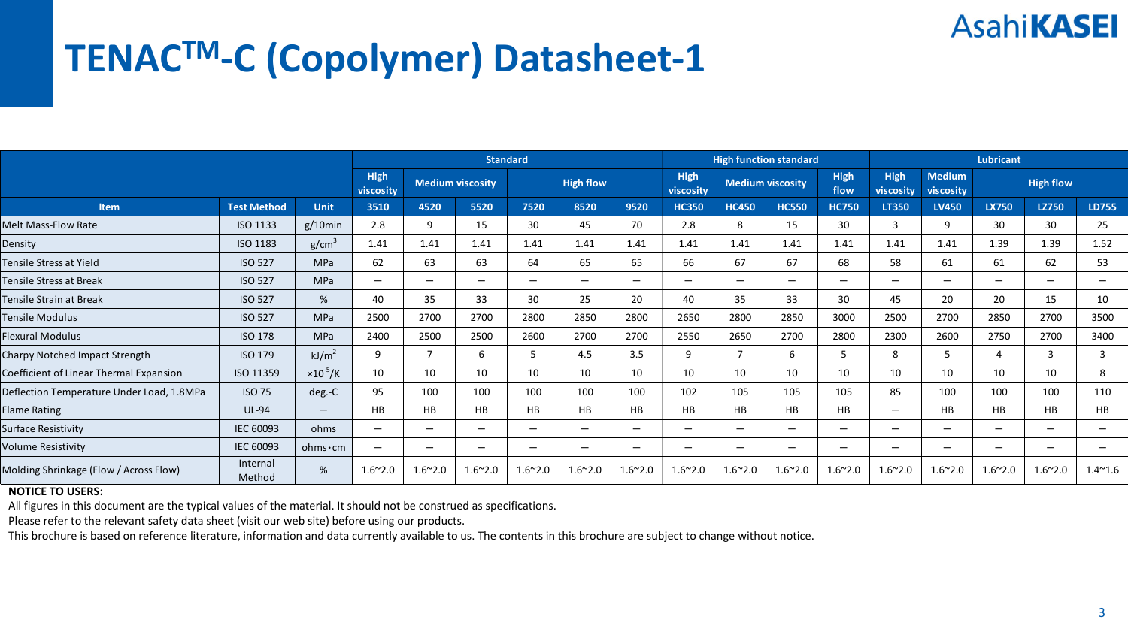# **TENACTM‐C (Copolymer) Datasheet‐1**

|                                           |                    |                     | <b>Standard</b>          |                          |                          |                          |                 | <b>High function standard</b> |                          |                          | Lubricant       |                                          |                              |                            |                              |                          |                          |
|-------------------------------------------|--------------------|---------------------|--------------------------|--------------------------|--------------------------|--------------------------|-----------------|-------------------------------|--------------------------|--------------------------|-----------------|------------------------------------------|------------------------------|----------------------------|------------------------------|--------------------------|--------------------------|
|                                           |                    |                     | High<br>viscosity        | <b>Medium viscosity</b>  |                          | <b>High flow</b>         |                 |                               | High<br>viscosity        | <b>Medium viscosity</b>  |                 | <b>High</b><br>High<br>flow<br>viscosity |                              | <b>Medium</b><br>viscosity |                              | <b>High flow</b>         |                          |
| Item                                      | <b>Test Method</b> | <b>Unit</b>         | 3510                     | 4520                     | 5520                     | 7520                     | 8520            | 9520                          | <b>HC350</b>             | <b>HC450</b>             | <b>HC550</b>    | <b>HC750</b>                             | LT350                        | <b>LV450</b>               | LX750                        | LZ750                    | LD755                    |
| Melt Mass-Flow Rate                       | ISO 1133           | $g/10$ min          | 2.8                      | 9                        | 15                       | 30                       | 45              | 70                            | 2.8                      | 8                        | 15              | 30                                       | Ε                            | q                          | 30                           | 30                       | 25                       |
| Density                                   | ISO 1183           | g/cm <sup>3</sup>   | 1.41                     | 1.41                     | 1.41                     | 1.41                     | 1.41            | 1.41                          | 1.41                     | 1.41                     | 1.41            | 1.41                                     | 1.41                         | 1.41                       | 1.39                         | 1.39                     | 1.52                     |
| Tensile Stress at Yield                   | <b>ISO 527</b>     | <b>MPa</b>          | 62                       | 63                       | 63                       | 64                       | 65              | 65                            | 66                       | 67                       | 67              | 68                                       | 58                           | 61                         | 61                           | 62                       | 53                       |
| <b>Tensile Stress at Break</b>            | <b>ISO 527</b>     | MPa                 | -                        | $\overline{\phantom{0}}$ | $\overline{\phantom{0}}$ | -                        | -               | $\qquad \qquad \blacksquare$  | $\overline{\phantom{0}}$ | $\overline{\phantom{m}}$ | -               | —                                        | $\qquad \qquad \blacksquare$ | $\overline{\phantom{0}}$   | $\overline{\phantom{m}}$     | $\overline{\phantom{m}}$ | $\overline{\phantom{m}}$ |
| Tensile Strain at Break                   | <b>ISO 527</b>     | %                   | 40                       | 35                       | 33                       | 30                       | 25              | 20                            | 40                       | 35                       | 33              | 30                                       | 45                           | 20                         | 20                           | 15                       | 10                       |
| <b>Tensile Modulus</b>                    | <b>ISO 527</b>     | MPa                 | 2500                     | 2700                     | 2700                     | 2800                     | 2850            | 2800                          | 2650                     | 2800                     | 2850            | 3000                                     | 2500                         | 2700                       | 2850                         | 2700                     | 3500                     |
| <b>Flexural Modulus</b>                   | <b>ISO 178</b>     | <b>MPa</b>          | 2400                     | 2500                     | 2500                     | 2600                     | 2700            | 2700                          | 2550                     | 2650                     | 2700            | 2800                                     | 2300                         | 2600                       | 2750                         | 2700                     | 3400                     |
| Charpy Notched Impact Strength            | <b>ISO 179</b>     | kJ/m <sup>2</sup>   | 9                        | $\overline{7}$           | 6                        |                          | 4.5             | 3.5                           | 9                        |                          | 6               | 5                                        | 8                            |                            | $\overline{a}$               | 3                        | 3                        |
| Coefficient of Linear Thermal Expansion   | ISO 11359          | $\times 10^{-5}$ /K | 10                       | 10                       | 10                       | 10                       | 10              | 10                            | 10                       | 10                       | 10              | 10                                       | 10                           | 10                         | 10                           | 10                       | 8                        |
| Deflection Temperature Under Load, 1.8MPa | <b>ISO 75</b>      | deg.-C              | 95                       | 100                      | 100                      | 100                      | 100             | 100                           | 102                      | 105                      | 105             | 105                                      | 85                           | 100                        | 100                          | 100                      | 110                      |
| <b>Flame Rating</b>                       | <b>UL-94</b>       | $-$                 | <b>HB</b>                | <b>HB</b>                | HB                       | HB                       | HB              | <b>HB</b>                     | HB                       | HB                       | HB              | <b>HB</b>                                | $\overline{\phantom{0}}$     | HB                         | HB                           | <b>HB</b>                | <b>HB</b>                |
| Surface Resistivity                       | IEC 60093          | ohms                | -                        | $\overline{\phantom{0}}$ | $\overline{\phantom{0}}$ | $\overline{\phantom{m}}$ | -               | $\qquad \qquad \blacksquare$  | $\overline{\phantom{m}}$ | $\overline{\phantom{m}}$ | -               | $\overline{\phantom{0}}$                 | $\qquad \qquad \blacksquare$ | $\overline{\phantom{0}}$   | $\qquad \qquad \blacksquare$ | $\overline{\phantom{m}}$ | -                        |
| Volume Resistivity                        | IEC 60093          | ohms·cm             | $\overline{\phantom{0}}$ | -                        | -                        | -                        | -               | -                             | -                        | $\overline{\phantom{m}}$ | -               | -                                        | -                            | -                          | -                            | -                        |                          |
| Molding Shrinkage (Flow / Across Flow)    | Internal<br>Method | $\%$                | $1.6^{\sim}2.0$          | $1.6^{\sim}2.0$          | $1.6^{\sim}2.0$          | $1.6^{\sim}2.0$          | $1.6^{\sim}2.0$ | $1.6^{\sim}2.0$               | $1.6^{\sim}2.0$          | $1.6^{\sim}2.0$          | $1.6^{\sim}2.0$ | $1.6^{\sim}2.0$                          | $1.6^{\sim}2.0$              | $1.6^{\sim}2.0$            | $1.6^{\sim}2.0$              | $1.6^{\sim}2.0$          | $1.4^{\sim}1.6$          |

#### **NOTICE TO USERS:**

All figures in this document are the typical values of the material. It should not be construed as specifications.

Please refer to the relevant safety data sheet (visit our web site) before using our products.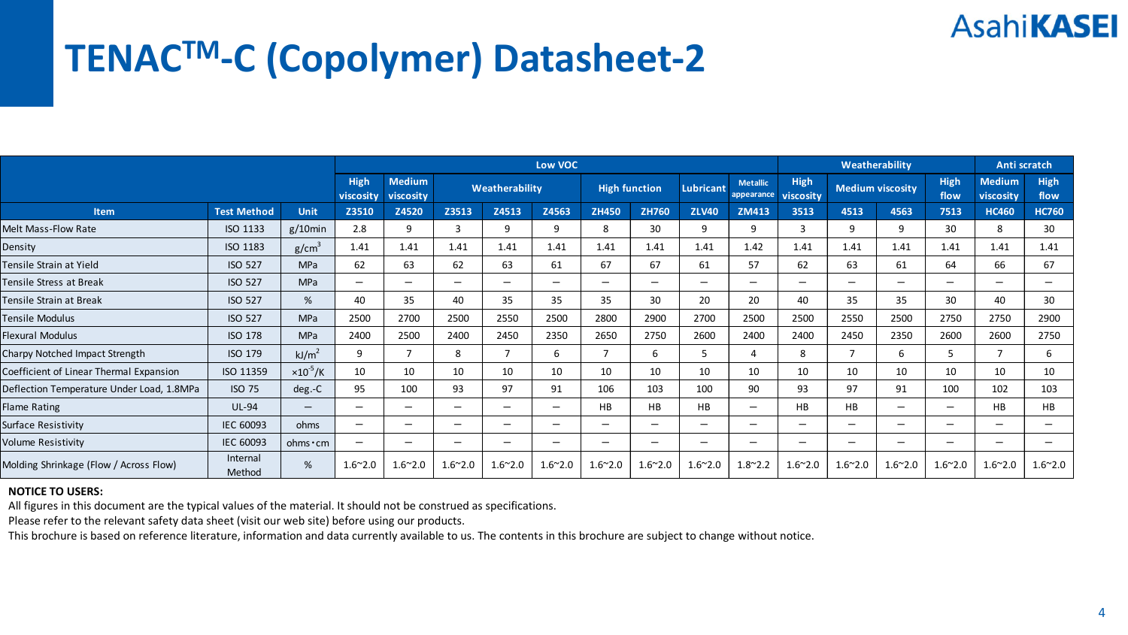## **TENACTM‐C (Copolymer) Datasheet‐2**

|                                           |                    |                          |                          |                                   | Low VOC                  |                 | Weatherability               | Anti scratch         |                          |                  |                               |                          |                          |                          |                 |                            |                 |
|-------------------------------------------|--------------------|--------------------------|--------------------------|-----------------------------------|--------------------------|-----------------|------------------------------|----------------------|--------------------------|------------------|-------------------------------|--------------------------|--------------------------|--------------------------|-----------------|----------------------------|-----------------|
|                                           |                    |                          | <b>High</b><br>viscosity | <b>Medium</b><br><b>viscosity</b> | Weatherability           |                 |                              | <b>High function</b> |                          | <b>Lubricant</b> | <b>Metallic</b><br>appearance | High<br>viscosity        | <b>Medium viscosity</b>  |                          | High<br>flow    | <b>Medium</b><br>viscosity | High<br>flow    |
| Item                                      | <b>Test Method</b> | Unit                     | Z3510                    | Z4520                             | Z3513                    | Z4513           | Z4563                        | <b>ZH450</b>         | ZH760                    | <b>ZLV40</b>     | ZM413                         | 3513                     | 4513                     | 4563                     | 7513            | <b>HC460</b>               | <b>HC760</b>    |
| Melt Mass-Flow Rate                       | ISO 1133           | $g/10$ min               | 2.8                      | 9                                 | з                        | 9               | 9                            | 8                    | 30                       | q                | 9                             | 3                        | q                        | 9                        | 30              | 8                          | 30              |
| Density                                   | ISO 1183           | g/cm <sup>3</sup>        | 1.41                     | 1.41                              | 1.41                     | 1.41            | 1.41                         | 1.41                 | 1.41                     | 1.41             | 1.42                          | 1.41                     | 1.41                     | 1.41                     | 1.41            | 1.41                       | 1.41            |
| Tensile Strain at Yield                   | <b>ISO 527</b>     | <b>MPa</b>               | 62                       | 63                                | 62                       | 63              | 61                           | 67                   | 67                       | 61               | 57                            | 62                       | 63                       | 61                       | 64              | 66                         | 67              |
| Tensile Stress at Break                   | <b>ISO 527</b>     | <b>MPa</b>               | $\overline{\phantom{m}}$ | $\overline{\phantom{0}}$          | $\overline{\phantom{0}}$ | -               | $\qquad \qquad \blacksquare$ | -                    | -                        | -                | $\overline{\phantom{0}}$      | $\overline{\phantom{m}}$ | $\overline{\phantom{m}}$ | $\overline{\phantom{m}}$ | -               | $\overline{\phantom{0}}$   | -               |
| Tensile Strain at Break                   | <b>ISO 527</b>     | %                        | 40                       | 35                                | 40                       | 35              | 35                           | 35                   | 30                       | 20               | 20                            | 40                       | 35                       | 35                       | 30              | 40                         | 30              |
| Tensile Modulus                           | <b>ISO 527</b>     | <b>MPa</b>               | 2500                     | 2700                              | 2500                     | 2550            | 2500                         | 2800                 | 2900                     | 2700             | 2500                          | 2500                     | 2550                     | 2500                     | 2750            | 2750                       | 2900            |
| <b>Flexural Modulus</b>                   | <b>ISO 178</b>     | <b>MPa</b>               | 2400                     | 2500                              | 2400                     | 2450            | 2350                         | 2650                 | 2750                     | 2600             | 2400                          | 2400                     | 2450                     | 2350                     | 2600            | 2600                       | 2750            |
| Charpy Notched Impact Strength            | ISO 179            | kJ/m <sup>2</sup>        | 9                        | 7                                 | 8                        |                 | 6                            |                      | 6                        |                  | 4                             | 8                        |                          | 6                        | 5               |                            | 6               |
| Coefficient of Linear Thermal Expansion   | ISO 11359          | $\times 10^{-5}$ /K      | 10                       | 10                                | 10                       | 10              | 10                           | 10                   | 10                       | 10               | 10                            | 10                       | 10                       | 10                       | 10              | 10                         | 10              |
| Deflection Temperature Under Load, 1.8MPa | <b>ISO 75</b>      | $deg.-C$                 | 95                       | 100                               | 93                       | 97              | 91                           | 106                  | 103                      | 100              | 90                            | 93                       | 97                       | 91                       | 100             | 102                        | 103             |
| <b>Flame Rating</b>                       | <b>UL-94</b>       | $\overline{\phantom{0}}$ |                          | $\overline{\phantom{m}}$          | -                        | -               | -                            | <b>HB</b>            | <b>HB</b>                | <b>HB</b>        | $\overline{\phantom{0}}$      | HB                       | <b>HB</b>                | $\overline{\phantom{m}}$ | -               | HB                         | <b>HB</b>       |
| Surface Resistivity                       | IEC 60093          | ohms                     | -                        | $\overline{\phantom{0}}$          | -                        | -               | -                            | -                    | -                        |                  | -                             | $\overline{\phantom{m}}$ | $\overline{\phantom{m}}$ | $\overline{\phantom{m}}$ | -               | -                          |                 |
| Volume Resistivity                        | IEC 60093          | ohms · cm                | -                        | $\overline{\phantom{0}}$          | -                        | -               | -                            | -                    | $\overline{\phantom{0}}$ | -                | -                             | $\overline{\phantom{0}}$ | $\overline{\phantom{m}}$ | $\overline{\phantom{m}}$ | -               | -                          |                 |
| Molding Shrinkage (Flow / Across Flow)    | Internal<br>Method | %                        | $1.6^{\sim}2.0$          | $1.6^{\sim}2.0$                   | $1.6^{\sim}2.0$          | $1.6^{\sim}2.0$ | $1.6^{\sim}2.0$              | $1.6^{\sim}2.0$      | $1.6^{\sim}2.0$          | $1.6^{\sim}2.0$  | $1.8^{\sim}$ 2.2              | $1.6^{\sim}2.0$          | $1.6^{\sim}2.0$          | $1.6^{\sim}2.0$          | $1.6^{\sim}2.0$ | $1.6^{\sim}2.0$            | $1.6^{\sim}2.0$ |

#### **NOTICE TO USERS:**

All figures in this document are the typical values of the material. It should not be construed as specifications.

Please refer to the relevant safety data sheet (visit our web site) before using our products.